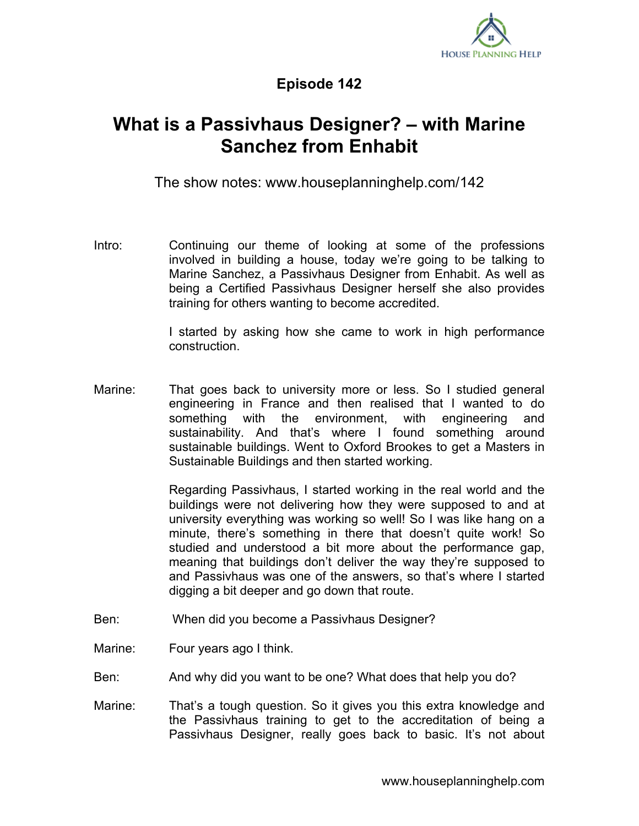

## **Episode 142**

## **What is a Passivhaus Designer? – with Marine Sanchez from Enhabit**

The show notes: www.houseplanninghelp.com/142

Intro: Continuing our theme of looking at some of the professions involved in building a house, today we're going to be talking to Marine Sanchez, a Passivhaus Designer from Enhabit. As well as being a Certified Passivhaus Designer herself she also provides training for others wanting to become accredited.

> I started by asking how she came to work in high performance construction.

Marine: That goes back to university more or less. So I studied general engineering in France and then realised that I wanted to do something with the environment, with engineering and sustainability. And that's where I found something around sustainable buildings. Went to Oxford Brookes to get a Masters in Sustainable Buildings and then started working.

> Regarding Passivhaus, I started working in the real world and the buildings were not delivering how they were supposed to and at university everything was working so well! So I was like hang on a minute, there's something in there that doesn't quite work! So studied and understood a bit more about the performance gap, meaning that buildings don't deliver the way they're supposed to and Passivhaus was one of the answers, so that's where I started digging a bit deeper and go down that route.

- Ben: When did you become a Passivhaus Designer?
- Marine: Four years ago I think.
- Ben: And why did you want to be one? What does that help you do?
- Marine: That's a tough question. So it gives you this extra knowledge and the Passivhaus training to get to the accreditation of being a Passivhaus Designer, really goes back to basic. It's not about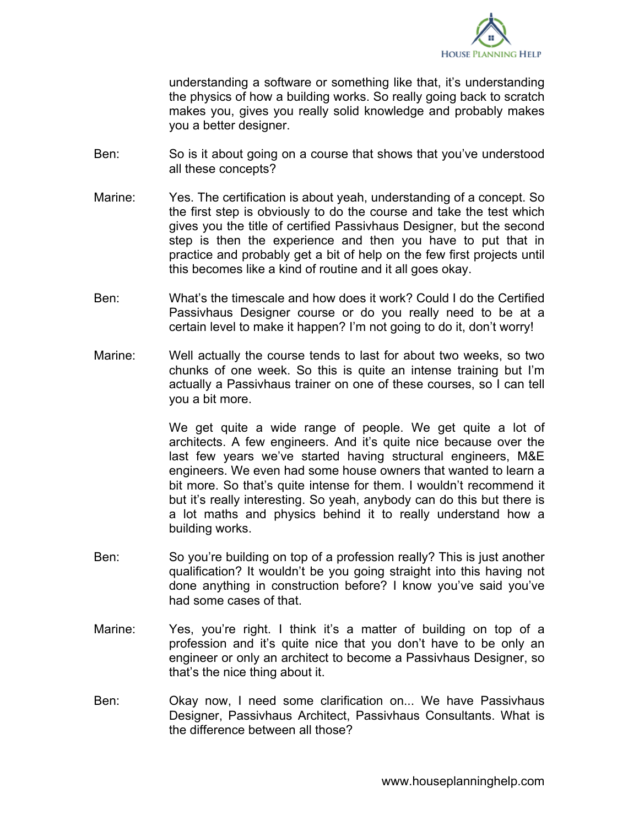

understanding a software or something like that, it's understanding the physics of how a building works. So really going back to scratch makes you, gives you really solid knowledge and probably makes you a better designer.

- Ben: So is it about going on a course that shows that you've understood all these concepts?
- Marine: Yes. The certification is about yeah, understanding of a concept. So the first step is obviously to do the course and take the test which gives you the title of certified Passivhaus Designer, but the second step is then the experience and then you have to put that in practice and probably get a bit of help on the few first projects until this becomes like a kind of routine and it all goes okay.
- Ben: What's the timescale and how does it work? Could I do the Certified Passivhaus Designer course or do you really need to be at a certain level to make it happen? I'm not going to do it, don't worry!
- Marine: Well actually the course tends to last for about two weeks, so two chunks of one week. So this is quite an intense training but I'm actually a Passivhaus trainer on one of these courses, so I can tell you a bit more.

We get quite a wide range of people. We get quite a lot of architects. A few engineers. And it's quite nice because over the last few years we've started having structural engineers, M&E engineers. We even had some house owners that wanted to learn a bit more. So that's quite intense for them. I wouldn't recommend it but it's really interesting. So yeah, anybody can do this but there is a lot maths and physics behind it to really understand how a building works.

- Ben: So you're building on top of a profession really? This is just another qualification? It wouldn't be you going straight into this having not done anything in construction before? I know you've said you've had some cases of that.
- Marine: Yes, you're right. I think it's a matter of building on top of a profession and it's quite nice that you don't have to be only an engineer or only an architect to become a Passivhaus Designer, so that's the nice thing about it.
- Ben: Okay now, I need some clarification on... We have Passivhaus Designer, Passivhaus Architect, Passivhaus Consultants. What is the difference between all those?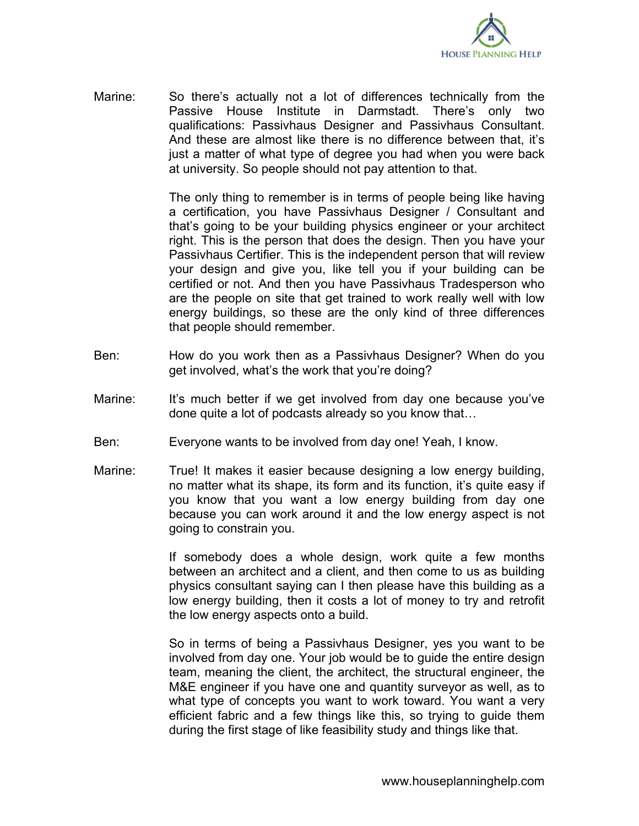

Marine: So there's actually not a lot of differences technically from the Passive House Institute in Darmstadt. There's only two qualifications: Passivhaus Designer and Passivhaus Consultant. And these are almost like there is no difference between that, it's just a matter of what type of degree you had when you were back at university. So people should not pay attention to that.

> The only thing to remember is in terms of people being like having a certification, you have Passivhaus Designer / Consultant and that's going to be your building physics engineer or your architect right. This is the person that does the design. Then you have your Passivhaus Certifier. This is the independent person that will review your design and give you, like tell you if your building can be certified or not. And then you have Passivhaus Tradesperson who are the people on site that get trained to work really well with low energy buildings, so these are the only kind of three differences that people should remember.

- Ben: How do you work then as a Passivhaus Designer? When do you get involved, what's the work that you're doing?
- Marine: It's much better if we get involved from day one because you've done quite a lot of podcasts already so you know that…
- Ben: Everyone wants to be involved from day one! Yeah, I know.
- Marine: True! It makes it easier because designing a low energy building, no matter what its shape, its form and its function, it's quite easy if you know that you want a low energy building from day one because you can work around it and the low energy aspect is not going to constrain you.

If somebody does a whole design, work quite a few months between an architect and a client, and then come to us as building physics consultant saying can I then please have this building as a low energy building, then it costs a lot of money to try and retrofit the low energy aspects onto a build.

So in terms of being a Passivhaus Designer, yes you want to be involved from day one. Your job would be to guide the entire design team, meaning the client, the architect, the structural engineer, the M&E engineer if you have one and quantity surveyor as well, as to what type of concepts you want to work toward. You want a very efficient fabric and a few things like this, so trying to guide them during the first stage of like feasibility study and things like that.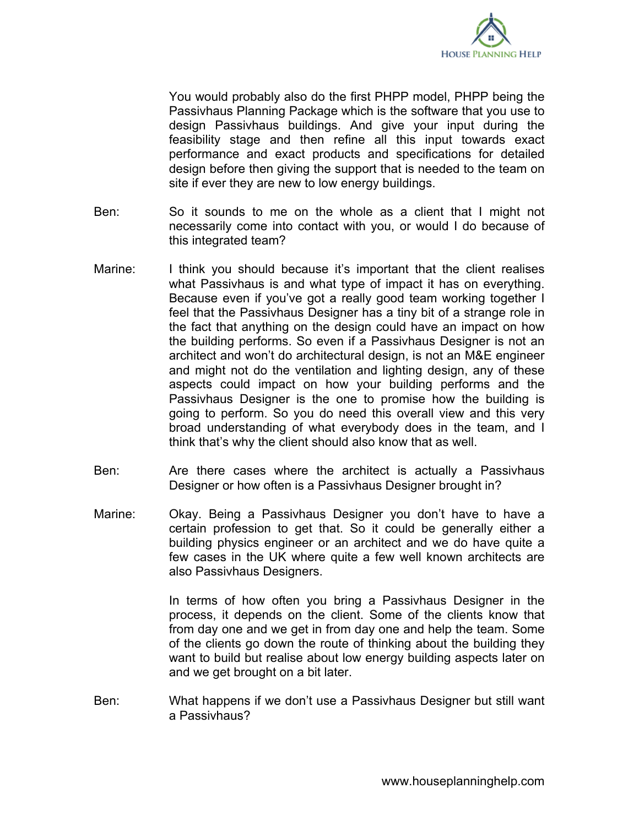

You would probably also do the first PHPP model, PHPP being the Passivhaus Planning Package which is the software that you use to design Passivhaus buildings. And give your input during the feasibility stage and then refine all this input towards exact performance and exact products and specifications for detailed design before then giving the support that is needed to the team on site if ever they are new to low energy buildings.

- Ben: So it sounds to me on the whole as a client that I might not necessarily come into contact with you, or would I do because of this integrated team?
- Marine: I think you should because it's important that the client realises what Passivhaus is and what type of impact it has on everything. Because even if you've got a really good team working together I feel that the Passivhaus Designer has a tiny bit of a strange role in the fact that anything on the design could have an impact on how the building performs. So even if a Passivhaus Designer is not an architect and won't do architectural design, is not an M&E engineer and might not do the ventilation and lighting design, any of these aspects could impact on how your building performs and the Passivhaus Designer is the one to promise how the building is going to perform. So you do need this overall view and this very broad understanding of what everybody does in the team, and I think that's why the client should also know that as well.
- Ben: Are there cases where the architect is actually a Passivhaus Designer or how often is a Passivhaus Designer brought in?
- Marine: Okay. Being a Passivhaus Designer you don't have to have a certain profession to get that. So it could be generally either a building physics engineer or an architect and we do have quite a few cases in the UK where quite a few well known architects are also Passivhaus Designers.

In terms of how often you bring a Passivhaus Designer in the process, it depends on the client. Some of the clients know that from day one and we get in from day one and help the team. Some of the clients go down the route of thinking about the building they want to build but realise about low energy building aspects later on and we get brought on a bit later.

Ben: What happens if we don't use a Passivhaus Designer but still want a Passivhaus?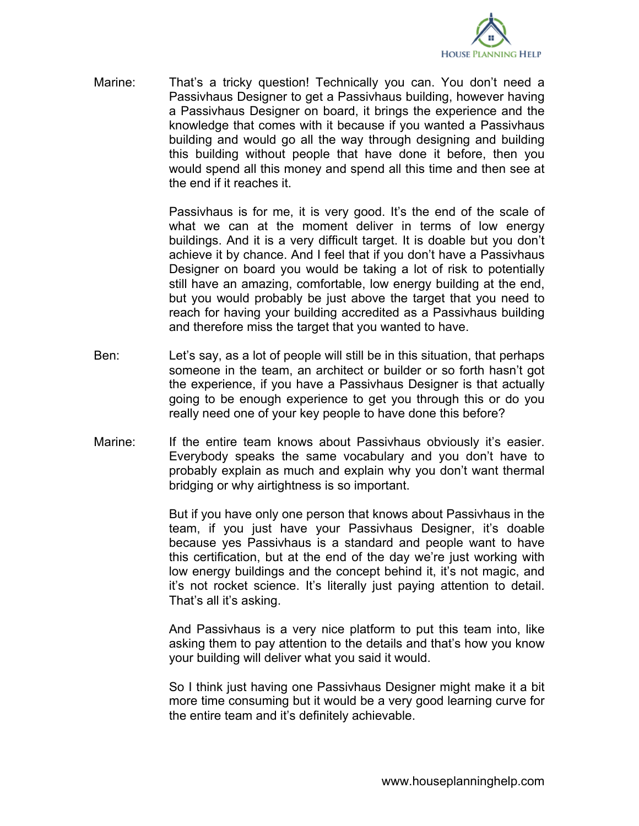

Marine: That's a tricky question! Technically you can. You don't need a Passivhaus Designer to get a Passivhaus building, however having a Passivhaus Designer on board, it brings the experience and the knowledge that comes with it because if you wanted a Passivhaus building and would go all the way through designing and building this building without people that have done it before, then you would spend all this money and spend all this time and then see at the end if it reaches it.

> Passivhaus is for me, it is very good. It's the end of the scale of what we can at the moment deliver in terms of low energy buildings. And it is a very difficult target. It is doable but you don't achieve it by chance. And I feel that if you don't have a Passivhaus Designer on board you would be taking a lot of risk to potentially still have an amazing, comfortable, low energy building at the end, but you would probably be just above the target that you need to reach for having your building accredited as a Passivhaus building and therefore miss the target that you wanted to have.

- Ben: Let's say, as a lot of people will still be in this situation, that perhaps someone in the team, an architect or builder or so forth hasn't got the experience, if you have a Passivhaus Designer is that actually going to be enough experience to get you through this or do you really need one of your key people to have done this before?
- Marine: If the entire team knows about Passivhaus obviously it's easier. Everybody speaks the same vocabulary and you don't have to probably explain as much and explain why you don't want thermal bridging or why airtightness is so important.

But if you have only one person that knows about Passivhaus in the team, if you just have your Passivhaus Designer, it's doable because yes Passivhaus is a standard and people want to have this certification, but at the end of the day we're just working with low energy buildings and the concept behind it, it's not magic, and it's not rocket science. It's literally just paying attention to detail. That's all it's asking.

And Passivhaus is a very nice platform to put this team into, like asking them to pay attention to the details and that's how you know your building will deliver what you said it would.

So I think just having one Passivhaus Designer might make it a bit more time consuming but it would be a very good learning curve for the entire team and it's definitely achievable.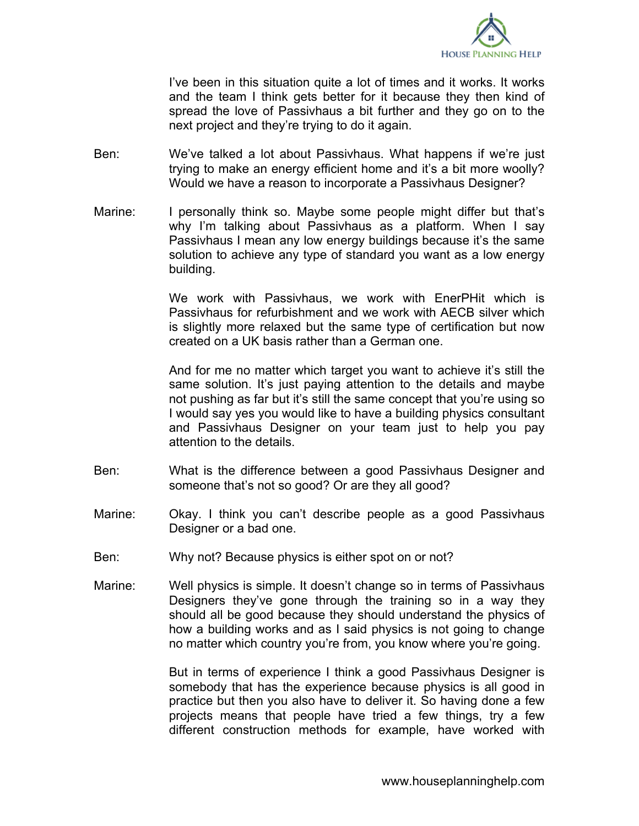

I've been in this situation quite a lot of times and it works. It works and the team I think gets better for it because they then kind of spread the love of Passivhaus a bit further and they go on to the next project and they're trying to do it again.

- Ben: We've talked a lot about Passivhaus. What happens if we're just trying to make an energy efficient home and it's a bit more woolly? Would we have a reason to incorporate a Passivhaus Designer?
- Marine: I personally think so. Maybe some people might differ but that's why I'm talking about Passivhaus as a platform. When I say Passivhaus I mean any low energy buildings because it's the same solution to achieve any type of standard you want as a low energy building.

We work with Passivhaus, we work with EnerPHit which is Passivhaus for refurbishment and we work with AECB silver which is slightly more relaxed but the same type of certification but now created on a UK basis rather than a German one.

And for me no matter which target you want to achieve it's still the same solution. It's just paying attention to the details and maybe not pushing as far but it's still the same concept that you're using so I would say yes you would like to have a building physics consultant and Passivhaus Designer on your team just to help you pay attention to the details.

- Ben: What is the difference between a good Passivhaus Designer and someone that's not so good? Or are they all good?
- Marine: Okay. I think you can't describe people as a good Passivhaus Designer or a bad one.
- Ben: Why not? Because physics is either spot on or not?
- Marine: Well physics is simple. It doesn't change so in terms of Passivhaus Designers they've gone through the training so in a way they should all be good because they should understand the physics of how a building works and as I said physics is not going to change no matter which country you're from, you know where you're going.

But in terms of experience I think a good Passivhaus Designer is somebody that has the experience because physics is all good in practice but then you also have to deliver it. So having done a few projects means that people have tried a few things, try a few different construction methods for example, have worked with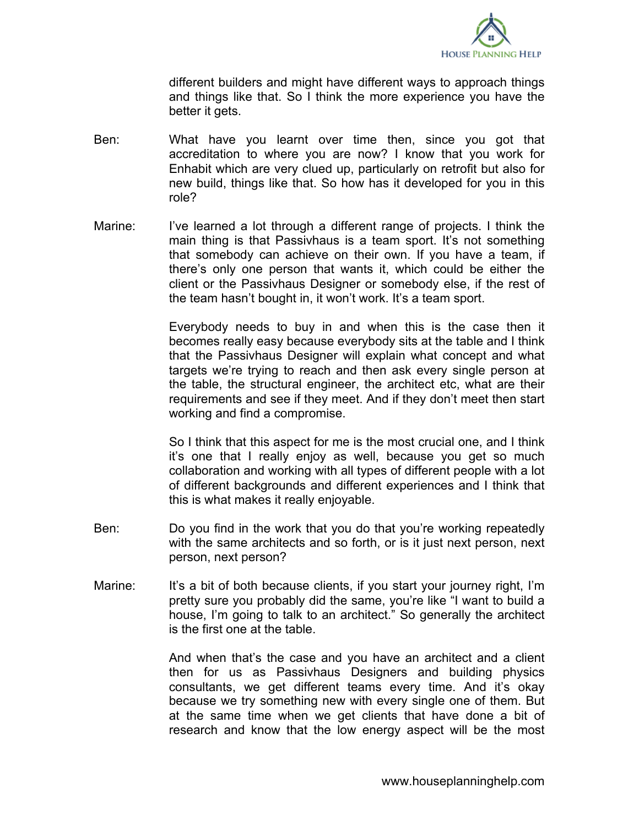

different builders and might have different ways to approach things and things like that. So I think the more experience you have the better it gets.

- Ben: What have you learnt over time then, since you got that accreditation to where you are now? I know that you work for Enhabit which are very clued up, particularly on retrofit but also for new build, things like that. So how has it developed for you in this role?
- Marine: I've learned a lot through a different range of projects. I think the main thing is that Passivhaus is a team sport. It's not something that somebody can achieve on their own. If you have a team, if there's only one person that wants it, which could be either the client or the Passivhaus Designer or somebody else, if the rest of the team hasn't bought in, it won't work. It's a team sport.

Everybody needs to buy in and when this is the case then it becomes really easy because everybody sits at the table and I think that the Passivhaus Designer will explain what concept and what targets we're trying to reach and then ask every single person at the table, the structural engineer, the architect etc, what are their requirements and see if they meet. And if they don't meet then start working and find a compromise.

So I think that this aspect for me is the most crucial one, and I think it's one that I really enjoy as well, because you get so much collaboration and working with all types of different people with a lot of different backgrounds and different experiences and I think that this is what makes it really enjoyable.

- Ben: Do you find in the work that you do that you're working repeatedly with the same architects and so forth, or is it just next person, next person, next person?
- Marine: It's a bit of both because clients, if you start your journey right, I'm pretty sure you probably did the same, you're like "I want to build a house, I'm going to talk to an architect." So generally the architect is the first one at the table.

And when that's the case and you have an architect and a client then for us as Passivhaus Designers and building physics consultants, we get different teams every time. And it's okay because we try something new with every single one of them. But at the same time when we get clients that have done a bit of research and know that the low energy aspect will be the most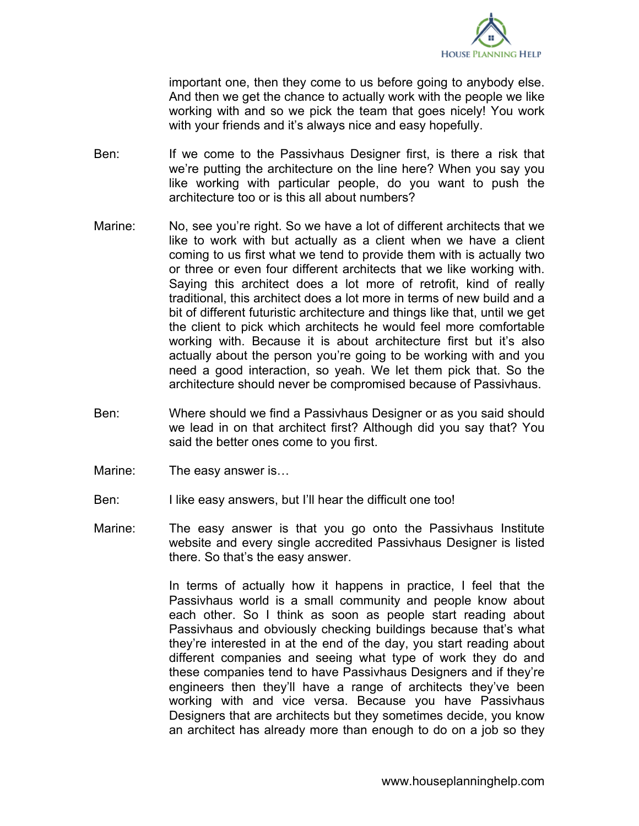

important one, then they come to us before going to anybody else. And then we get the chance to actually work with the people we like working with and so we pick the team that goes nicely! You work with your friends and it's always nice and easy hopefully.

- Ben: If we come to the Passivhaus Designer first, is there a risk that we're putting the architecture on the line here? When you say you like working with particular people, do you want to push the architecture too or is this all about numbers?
- Marine: No, see you're right. So we have a lot of different architects that we like to work with but actually as a client when we have a client coming to us first what we tend to provide them with is actually two or three or even four different architects that we like working with. Saying this architect does a lot more of retrofit, kind of really traditional, this architect does a lot more in terms of new build and a bit of different futuristic architecture and things like that, until we get the client to pick which architects he would feel more comfortable working with. Because it is about architecture first but it's also actually about the person you're going to be working with and you need a good interaction, so yeah. We let them pick that. So the architecture should never be compromised because of Passivhaus.
- Ben: Where should we find a Passivhaus Designer or as you said should we lead in on that architect first? Although did you say that? You said the better ones come to you first.
- Marine: The easy answer is...
- Ben: I like easy answers, but I'll hear the difficult one too!
- Marine: The easy answer is that you go onto the Passivhaus Institute website and every single accredited Passivhaus Designer is listed there. So that's the easy answer.

In terms of actually how it happens in practice, I feel that the Passivhaus world is a small community and people know about each other. So I think as soon as people start reading about Passivhaus and obviously checking buildings because that's what they're interested in at the end of the day, you start reading about different companies and seeing what type of work they do and these companies tend to have Passivhaus Designers and if they're engineers then they'll have a range of architects they've been working with and vice versa. Because you have Passivhaus Designers that are architects but they sometimes decide, you know an architect has already more than enough to do on a job so they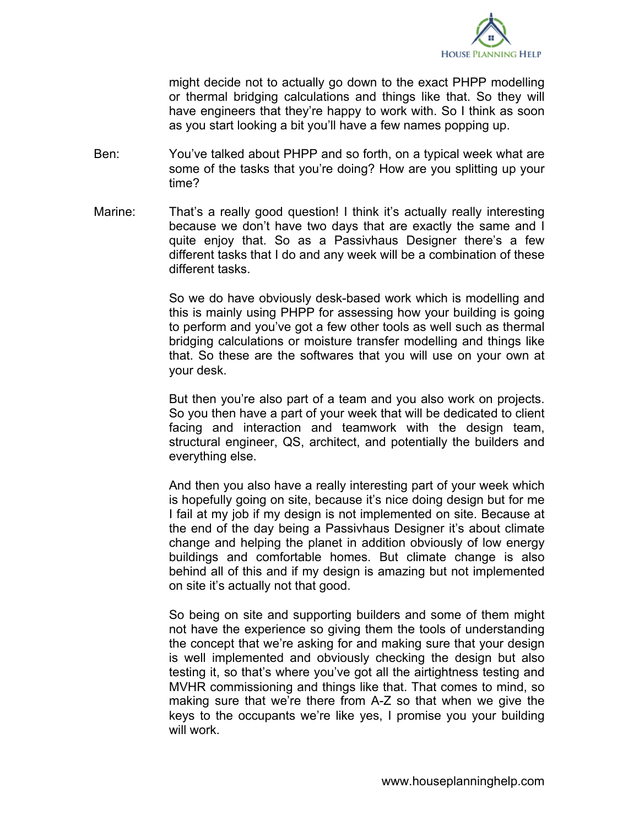

might decide not to actually go down to the exact PHPP modelling or thermal bridging calculations and things like that. So they will have engineers that they're happy to work with. So I think as soon as you start looking a bit you'll have a few names popping up.

- Ben: You've talked about PHPP and so forth, on a typical week what are some of the tasks that you're doing? How are you splitting up your time?
- Marine: That's a really good question! I think it's actually really interesting because we don't have two days that are exactly the same and I quite enjoy that. So as a Passivhaus Designer there's a few different tasks that I do and any week will be a combination of these different tasks.

So we do have obviously desk-based work which is modelling and this is mainly using PHPP for assessing how your building is going to perform and you've got a few other tools as well such as thermal bridging calculations or moisture transfer modelling and things like that. So these are the softwares that you will use on your own at your desk.

But then you're also part of a team and you also work on projects. So you then have a part of your week that will be dedicated to client facing and interaction and teamwork with the design team, structural engineer, QS, architect, and potentially the builders and everything else.

And then you also have a really interesting part of your week which is hopefully going on site, because it's nice doing design but for me I fail at my job if my design is not implemented on site. Because at the end of the day being a Passivhaus Designer it's about climate change and helping the planet in addition obviously of low energy buildings and comfortable homes. But climate change is also behind all of this and if my design is amazing but not implemented on site it's actually not that good.

So being on site and supporting builders and some of them might not have the experience so giving them the tools of understanding the concept that we're asking for and making sure that your design is well implemented and obviously checking the design but also testing it, so that's where you've got all the airtightness testing and MVHR commissioning and things like that. That comes to mind, so making sure that we're there from A-Z so that when we give the keys to the occupants we're like yes, I promise you your building will work.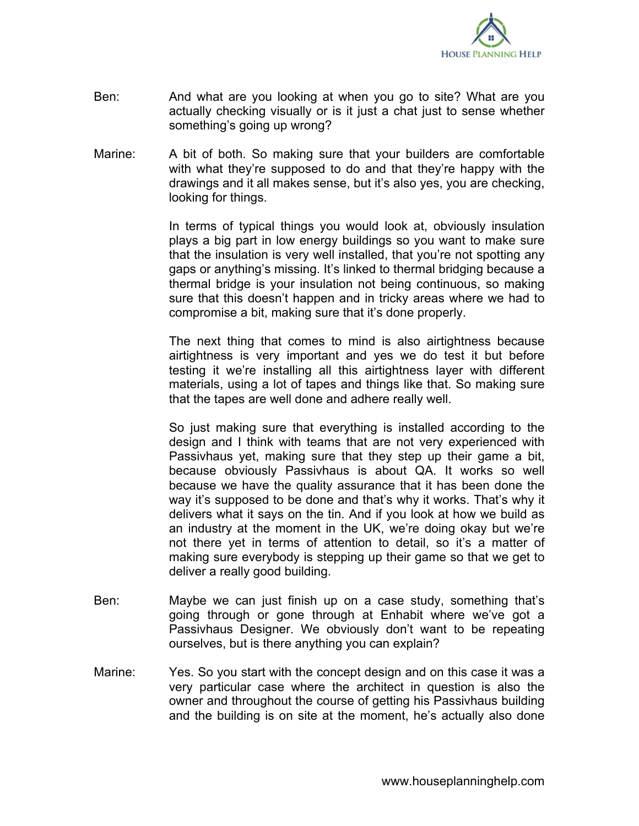

- Ben: And what are you looking at when you go to site? What are you actually checking visually or is it just a chat just to sense whether something's going up wrong?
- Marine: A bit of both. So making sure that your builders are comfortable with what they're supposed to do and that they're happy with the drawings and it all makes sense, but it's also yes, you are checking, looking for things.

In terms of typical things you would look at, obviously insulation plays a big part in low energy buildings so you want to make sure that the insulation is very well installed, that you're not spotting any gaps or anything's missing. It's linked to thermal bridging because a thermal bridge is your insulation not being continuous, so making sure that this doesn't happen and in tricky areas where we had to compromise a bit, making sure that it's done properly.

The next thing that comes to mind is also airtightness because airtightness is very important and yes we do test it but before testing it we're installing all this airtightness layer with different materials, using a lot of tapes and things like that. So making sure that the tapes are well done and adhere really well.

So just making sure that everything is installed according to the design and I think with teams that are not very experienced with Passivhaus yet, making sure that they step up their game a bit, because obviously Passivhaus is about QA. It works so well because we have the quality assurance that it has been done the way it's supposed to be done and that's why it works. That's why it delivers what it says on the tin. And if you look at how we build as an industry at the moment in the UK, we're doing okay but we're not there yet in terms of attention to detail, so it's a matter of making sure everybody is stepping up their game so that we get to deliver a really good building.

- Ben: Maybe we can just finish up on a case study, something that's going through or gone through at Enhabit where we've got a Passivhaus Designer. We obviously don't want to be repeating ourselves, but is there anything you can explain?
- Marine: Yes. So you start with the concept design and on this case it was a very particular case where the architect in question is also the owner and throughout the course of getting his Passivhaus building and the building is on site at the moment, he's actually also done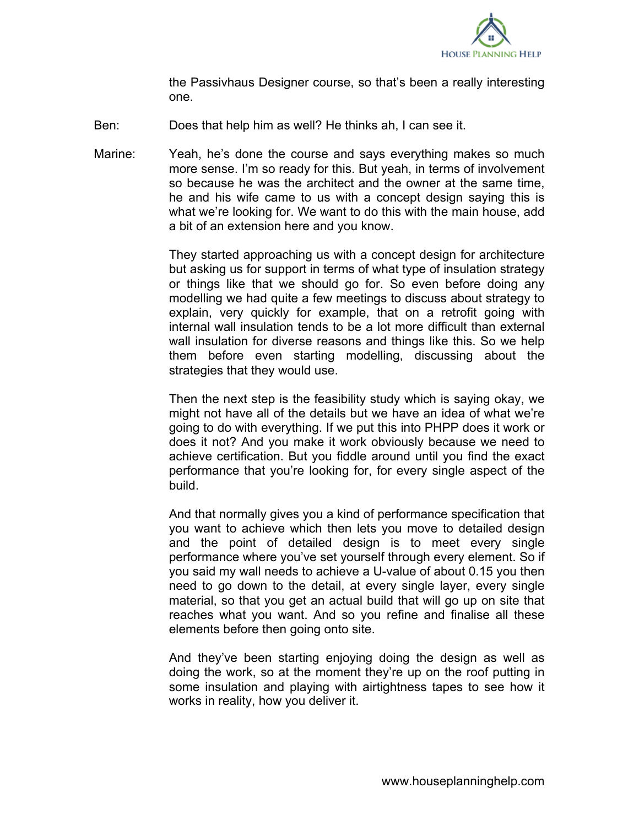

the Passivhaus Designer course, so that's been a really interesting one.

- Ben: Does that help him as well? He thinks ah, I can see it.
- Marine: Yeah, he's done the course and says everything makes so much more sense. I'm so ready for this. But yeah, in terms of involvement so because he was the architect and the owner at the same time, he and his wife came to us with a concept design saying this is what we're looking for. We want to do this with the main house, add a bit of an extension here and you know.

They started approaching us with a concept design for architecture but asking us for support in terms of what type of insulation strategy or things like that we should go for. So even before doing any modelling we had quite a few meetings to discuss about strategy to explain, very quickly for example, that on a retrofit going with internal wall insulation tends to be a lot more difficult than external wall insulation for diverse reasons and things like this. So we help them before even starting modelling, discussing about the strategies that they would use.

Then the next step is the feasibility study which is saying okay, we might not have all of the details but we have an idea of what we're going to do with everything. If we put this into PHPP does it work or does it not? And you make it work obviously because we need to achieve certification. But you fiddle around until you find the exact performance that you're looking for, for every single aspect of the build.

And that normally gives you a kind of performance specification that you want to achieve which then lets you move to detailed design and the point of detailed design is to meet every single performance where you've set yourself through every element. So if you said my wall needs to achieve a U-value of about 0.15 you then need to go down to the detail, at every single layer, every single material, so that you get an actual build that will go up on site that reaches what you want. And so you refine and finalise all these elements before then going onto site.

And they've been starting enjoying doing the design as well as doing the work, so at the moment they're up on the roof putting in some insulation and playing with airtightness tapes to see how it works in reality, how you deliver it.